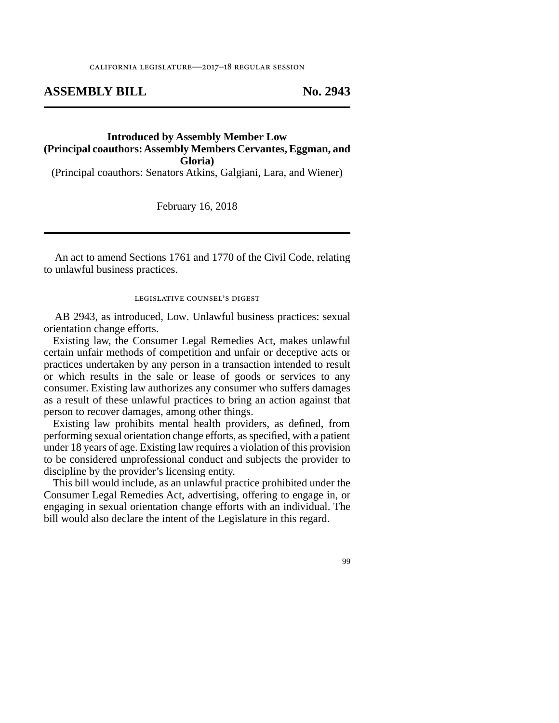**ASSEMBLY BILL No. 2943** 

## **Introduced by Assembly Member Low (Principal coauthors: Assembly Members Cervantes, Eggman, and Gloria)**

(Principal coauthors: Senators Atkins, Galgiani, Lara, and Wiener)

February 16, 2018

An act to amend Sections 1761 and 1770 of the Civil Code, relating to unlawful business practices.

## legislative counsel's digest

AB 2943, as introduced, Low. Unlawful business practices: sexual orientation change efforts.

Existing law, the Consumer Legal Remedies Act, makes unlawful certain unfair methods of competition and unfair or deceptive acts or practices undertaken by any person in a transaction intended to result or which results in the sale or lease of goods or services to any consumer. Existing law authorizes any consumer who suffers damages as a result of these unlawful practices to bring an action against that person to recover damages, among other things.

Existing law prohibits mental health providers, as defined, from performing sexual orientation change efforts, as specified, with a patient under 18 years of age. Existing law requires a violation of this provision to be considered unprofessional conduct and subjects the provider to discipline by the provider's licensing entity.

This bill would include, as an unlawful practice prohibited under the Consumer Legal Remedies Act, advertising, offering to engage in, or engaging in sexual orientation change efforts with an individual. The bill would also declare the intent of the Legislature in this regard.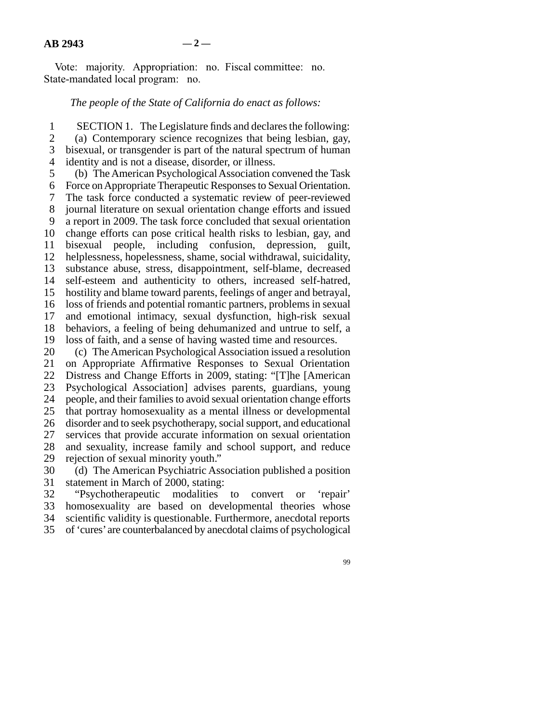Vote: majority. Appropriation: no. Fiscal committee: no. State-mandated local program: no.

## *The people of the State of California do enact as follows:*

 line 1 SECTION 1. The Legislature finds and declares the following: 2 (a) Contemporary science recognizes that being lesbian, gay, 3 bisexual, or transgender is part of the natural spectrum of human 4 identity and is not a disease, disorder, or illness.

5 (b) The American Psychological Association convened the Task

6 Force on Appropriate Therapeutic Responses to Sexual Orientation.<br>
7 The task force conducted a systematic review of peer-reviewed The task force conducted a systematic review of peer-reviewed 8 journal literature on sexual orientation change efforts and issued 9 a report in 2009. The task force concluded that sexual orientation 10 change efforts can pose critical health risks to lesbian, gay, and 11 bisexual people, including confusion, depression, guilt, 12 helplessness, hopelessness, shame, social withdrawal, suicidality, 13 substance abuse, stress, disappointment, self-blame, decreased 14 self-esteem and authenticity to others, increased self-hatred, 15 hostility and blame toward parents, feelings of anger and betrayal, 16 loss of friends and potential romantic partners, problems in sexual 17 and emotional intimacy, sexual dysfunction, high-risk sexual 18 behaviors, a feeling of being dehumanized and untrue to self, a

19 loss of faith, and a sense of having wasted time and resources.<br>20 (c) The American Psychological Association issued a resolution

 line 20 (c) The American Psychological Association issued a resolution 21 on Appropriate Affirmative Responses to Sexual Orientation 22 Distress and Change Efforts in 2009, stating: "[T]he [American 23 Psychological Association] advises parents, guardians, young 24 people, and their families to avoid sexual orientation change efforts 25 that portray homosexuality as a mental illness or developmental 26 disorder and to seek psychotherapy, social support, and educational 27 services that provide accurate information on sexual orientation 28 and sexuality, increase family and school support, and reduce 29 rejection of sexual minority youth."

30 (d) The American Psychiatric Association published a position 31 statement in March of 2000, stating:

32 "Psychotherapeutic modalities to convert or 'repair' 33 homosexuality are based on developmental theories whose 34 scientific validity is questionable. Furthermore, anecdotal reports 35 of 'cures' are counterbalanced by anecdotal claims of psychological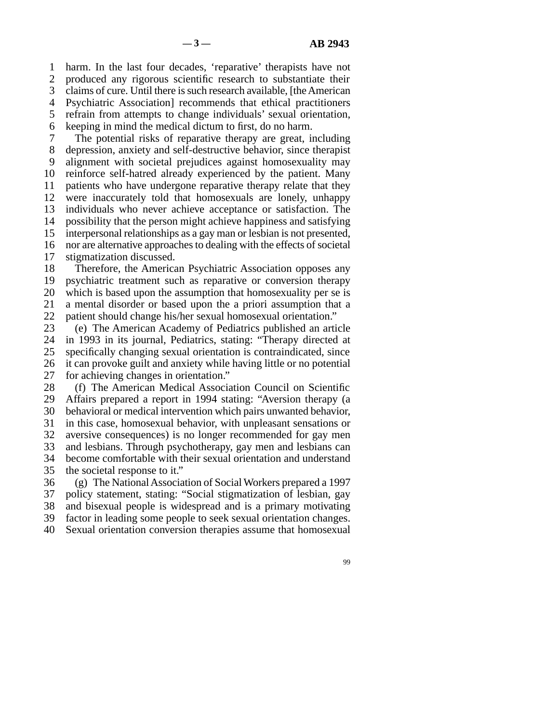1 harm. In the last four decades, 'reparative' therapists have not

2 produced any rigorous scientific research to substantiate their 3 claims of cure. Until there is such research available, [the American

4 Psychiatric Association] recommends that ethical practitioners

5 refrain from attempts to change individuals' sexual orientation,

6 keeping in mind the medical dictum to first, do no harm.

7 The potential risks of reparative therapy are great, including 8 depression, anxiety and self-destructive behavior, since therapist 9 alignment with societal prejudices against homosexuality may 10 reinforce self-hatred already experienced by the patient. Many 11 patients who have undergone reparative therapy relate that they 12 were inaccurately told that homosexuals are lonely, unhappy 13 individuals who never achieve acceptance or satisfaction. The 14 possibility that the person might achieve happiness and satisfying 15 interpersonal relationships as a gay man or lesbian is not presented, 16 nor are alternative approaches to dealing with the effects of societal

17 stigmatization discussed.

18 Therefore, the American Psychiatric Association opposes any 19 psychiatric treatment such as reparative or conversion therapy 20 which is based upon the assumption that homosexuality per se is 21 a mental disorder or based upon the a priori assumption that a

22 patient should change his/her sexual homosexual orientation."<br>23 (e) The American Academy of Pediatrics published an arti line 23 (e) The American Academy of Pediatrics published an article 24 in 1993 in its journal, Pediatrics, stating: "Therapy directed at 25 specifically changing sexual orientation is contraindicated, since specifically changing sexual orientation is contraindicated, since 26 it can provoke guilt and anxiety while having little or no potential 27 for achieving changes in orientation."

28 (f) The American Medical Association Council on Scientific 29 Affairs prepared a report in 1994 stating: "Aversion therapy (a 30 behavioral or medical intervention which pairs unwanted behavior, 31 in this case, homosexual behavior, with unpleasant sensations or 32 aversive consequences) is no longer recommended for gay men 33 and lesbians. Through psychotherapy, gay men and lesbians can 34 become comfortable with their sexual orientation and understand 35 the societal response to it."

 line 36 (g) The National Association of Social Workers prepared a 1997 37 policy statement, stating: "Social stigmatization of lesbian, gay 38 and bisexual people is widespread and is a primary motivating 39 factor in leading some people to seek sexual orientation changes. 40 Sexual orientation conversion therapies assume that homosexual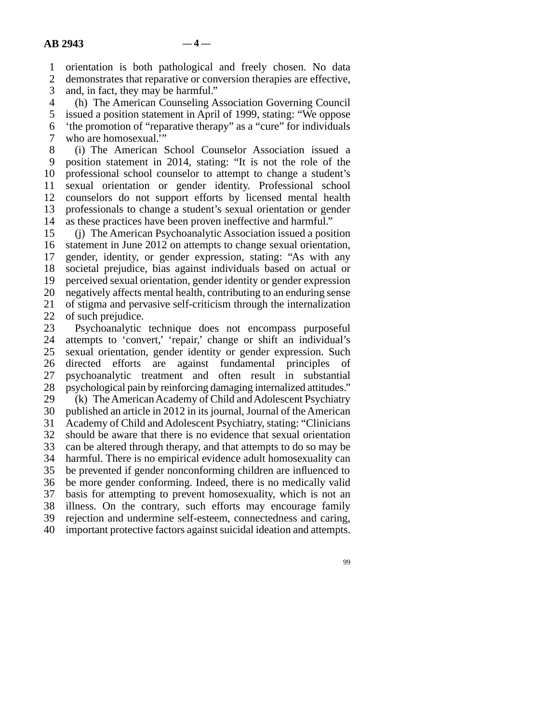line 1 orientation is both pathological and freely chosen. No data

2 demonstrates that reparative or conversion therapies are effective,<br>3 and, in fact, they may be harmful." and, in fact, they may be harmful."

 line 4 (h) The American Counseling Association Governing Council 5 issued a position statement in April of 1999, stating: "We oppose line 6 'the promotion of "reparative therapy" as a "cure" for individuals 7 who are homosexual."

8 (i) The American School Counselor Association issued a 9 position statement in 2014, stating: "It is not the role of the 10 professional school counselor to attempt to change a student's line 11 sexual orientation or gender identity. Professional school 12 counselors do not support efforts by licensed mental health 13 professionals to change a student's sexual orientation or gender 14 as these practices have been proven ineffective and harmful."

15 (i) The American Psychoanalytic Association issued a position 16 statement in June 2012 on attempts to change sexual orientation, 17 gender, identity, or gender expression, stating: "As with any 18 societal prejudice, bias against individuals based on actual or 19 perceived sexual orientation, gender identity or gender expression 20 negatively affects mental health, contributing to an enduring sense 21 of stigma and pervasive self-criticism through the internalization 22 of such prejudice.<br>23 Psychoanalytic

Psychoanalytic technique does not encompass purposeful 24 attempts to 'convert,' 'repair,' change or shift an individual's 25 sexual orientation, gender identity or gender expression. Such sexual orientation, gender identity or gender expression. Such 26 directed efforts are against fundamental principles of 27 psychoanalytic treatment and often result in substantial 28 psychological pain by reinforcing damaging internalized attitudes." 29 (k) The American Academy of Child and Adolescent Psychiatry 30 published an article in 2012 in its journal, Journal of the American 31 Academy of Child and Adolescent Psychiatry, stating: "Clinicians" 32 should be aware that there is no evidence that sexual orientation 33 can be altered through therapy, and that attempts to do so may be 34 harmful. There is no empirical evidence adult homosexuality can 35 be prevented if gender nonconforming children are influenced to 36 be more gender conforming. Indeed, there is no medically valid 37 basis for attempting to prevent homosexuality, which is not an 38 illness. On the contrary, such efforts may encourage family 39 rejection and undermine self-esteem, connectedness and caring, 40 important protective factors against suicidal ideation and attempts.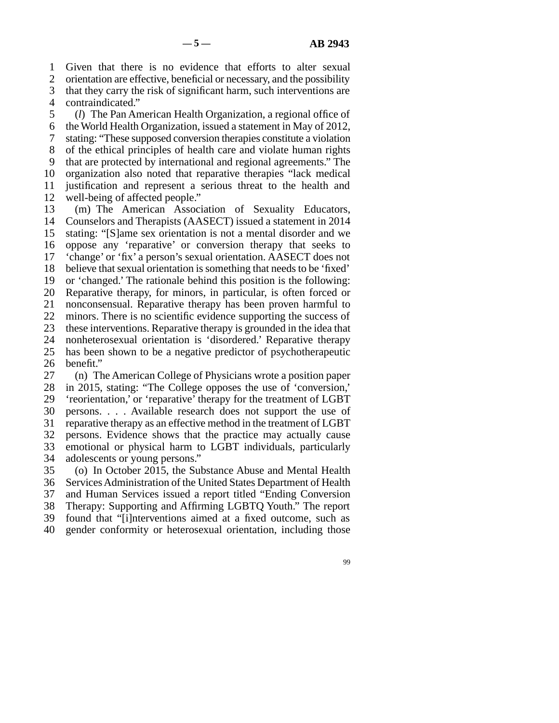1 Given that there is no evidence that efforts to alter sexual

2 orientation are effective, beneficial or necessary, and the possibility

3 that they carry the risk of significant harm, such interventions are 4 contraindicated."

 line 5 (*l*) The Pan American Health Organization, a regional office of 6 the World Health Organization, issued a statement in May of 2012, line 7 stating: "These supposed conversion therapies constitute a violation 8 of the ethical principles of health care and violate human rights 9 that are protected by international and regional agreements." The 10 organization also noted that reparative therapies "lack medical 11 justification and represent a serious threat to the health and 12 well-being of affected people."

13 (m) The American Association of Sexuality Educators, 14 Counselors and Therapists (AASECT) issued a statement in 2014 15 stating: "[S]ame sex orientation is not a mental disorder and we 16 oppose any 'reparative' or conversion therapy that seeks to 17 'change' or 'fix' a person's sexual orientation. AASECT does not 18 believe that sexual orientation is something that needs to be 'fixed' 19 or 'changed.' The rationale behind this position is the following: 20 Reparative therapy, for minors, in particular, is often forced or 21 nonconsensual. Reparative therapy has been proven harmful to 22 minors. There is no scientific evidence supporting the success of 23 these interventions. Reparative therapy is grounded in the idea that 24 nonheterosexual orientation is 'disordered.' Reparative therapy<br>25 has been shown to be a negative predictor of psychotherapeutic has been shown to be a negative predictor of psychotherapeutic 26 benefit."

27 (n) The American College of Physicians wrote a position paper 28 in 2015, stating: "The College opposes the use of 'conversion,' 29 'reorientation,' or 'reparative' therapy for the treatment of LGBT 30 persons. . . . Available research does not support the use of 31 reparative therapy as an effective method in the treatment of LGBT 32 persons. Evidence shows that the practice may actually cause 33 emotional or physical harm to LGBT individuals, particularly 34 adolescents or young persons." 35 (o) In October 2015, the Substance Abuse and Mental Health

36 Services Administration of the United States Department of Health 37 and Human Services issued a report titled "Ending Conversion" 38 Therapy: Supporting and Affirming LGBTQ Youth." The report 39 found that "[i]nterventions aimed at a fixed outcome, such as 40 gender conformity or heterosexual orientation, including those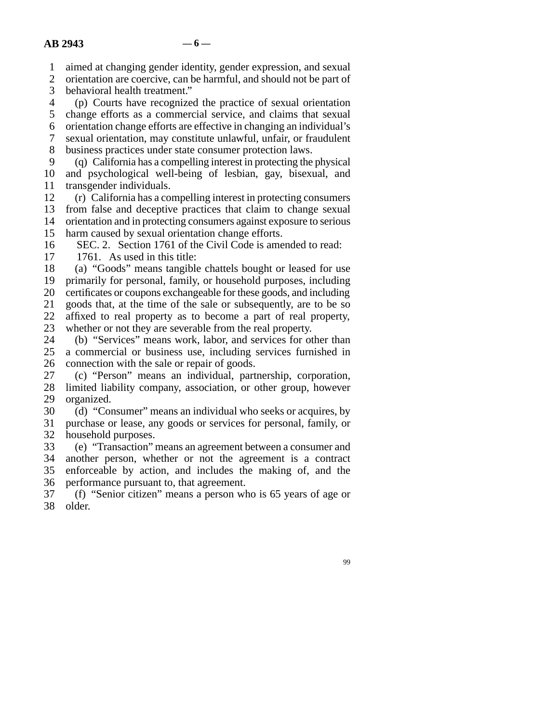1 aimed at changing gender identity, gender expression, and sexual

2 orientation are coercive, can be harmful, and should not be part of<br>3 behavioral health treatment." behavioral health treatment."

 line 4 (p) Courts have recognized the practice of sexual orientation 5 change efforts as a commercial service, and claims that sexual line 6 orientation change efforts are effective in changing an individual's 7 sexual orientation, may constitute unlawful, unfair, or fraudulent 8 business practices under state consumer protection laws.

 line 9 (q) California has a compelling interest in protecting the physical 10 and psychological well-being of lesbian, gay, bisexual, and 11 transgender individuals.

12 (r) California has a compelling interest in protecting consumers 13 from false and deceptive practices that claim to change sexual 14 orientation and in protecting consumers against exposure to serious

15 harm caused by sexual orientation change efforts.

16 SEC. 2. Section 1761 of the Civil Code is amended to read:

 $17 \t1761$ . As used in this title:

18 (a) "Goods" means tangible chattels bought or leased for use 19 primarily for personal, family, or household purposes, including 20 certificates or coupons exchangeable for these goods, and including 21 goods that, at the time of the sale or subsequently, are to be so 22 affixed to real property as to become a part of real property,<br>23 whether or not they are severable from the real property. whether or not they are severable from the real property.

24 (b) "Services" means work, labor, and services for other than 25 a commercial or business use, including services furnished in a commercial or business use, including services furnished in 26 connection with the sale or repair of goods.

27 (c) "Person" means an individual, partnership, corporation, 28 limited liability company, association, or other group, however 29 organized.

30 (d) "Consumer" means an individual who seeks or acquires, by 31 purchase or lease, any goods or services for personal, family, or 32 household purposes.

 line 33 (e) "Transaction" means an agreement between a consumer and 34 another person, whether or not the agreement is a contract 35 enforceable by action, and includes the making of, and the 36 performance pursuant to, that agreement.

37 (f) "Senior citizen" means a person who is 65 years of age or 38 older.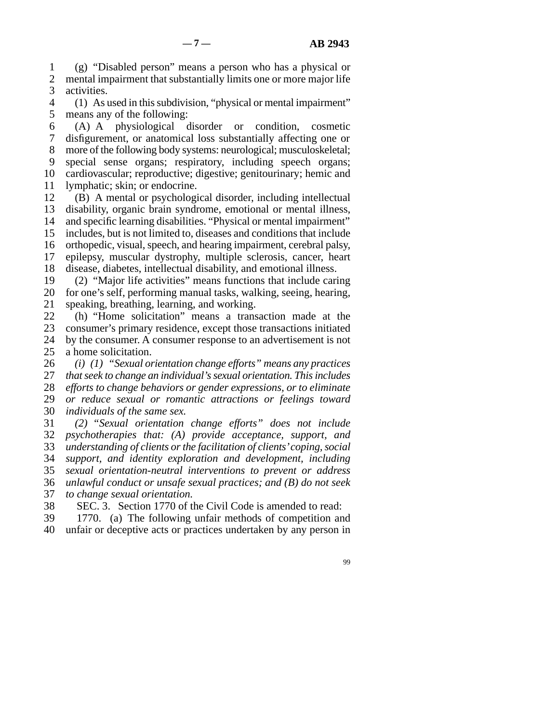line 1 (g) "Disabled person" means a person who has a physical or 2 mental impairment that substantially limits one or more major life<br>3 activities. activities.

4 (1) As used in this subdivision, "physical or mental impairment" 5 means any of the following:

 line 6 (A) A physiological disorder or condition, cosmetic line 7 disfigurement, or anatomical loss substantially affecting one or 8 more of the following body systems: neurological; musculoskeletal; 9 special sense organs; respiratory, including speech organs; 10 cardiovascular; reproductive; digestive; genitourinary; hemic and 11 lymphatic; skin; or endocrine.

12 (B) A mental or psychological disorder, including intellectual 13 disability, organic brain syndrome, emotional or mental illness, 14 and specific learning disabilities. "Physical or mental impairment" 15 includes, but is not limited to, diseases and conditions that include 16 orthopedic, visual, speech, and hearing impairment, cerebral palsy, 17 epilepsy, muscular dystrophy, multiple sclerosis, cancer, heart 18 disease, diabetes, intellectual disability, and emotional illness.

19 (2) "Major life activities" means functions that include caring 20 for one's self, performing manual tasks, walking, seeing, hearing, 21 speaking, breathing, learning, and working.

22 (h) "Home solicitation" means a transaction made at the 23 consumer's primary residence, except those transactions initiated consumer's primary residence, except those transactions initiated 24 by the consumer. A consumer response to an advertisement is not 25 a home solicitation. a home solicitation.

*(i)* (1) "Sexual orientation change efforts" means any practices 27 that seek to change an individual's sexual orientation. This includes *that seek to change an individual's sexual orientation. This includes efforts to change behaviors or gender expressions, or to eliminate or reduce sexual or romantic attractions or feelings toward individuals of the same sex.* 

 line 31 *(2) "Sexual orientation change efforts" does not include* 32 *psychotherapies that: (A) provide acceptance, support, and* 33 *understanding of clients or the facilitation of clients' coping, social*  line 34 *support, and identity exploration and development, including* line 35 *sexual orientation-neutral interventions to prevent or address* line 36 *unlawful conduct or unsafe sexual practices; and (B) do not seek* 37 *to change sexual orientation.* 

SEC. 3. Section 1770 of the Civil Code is amended to read:<br>39 1770. (a) The following unfair methods of competition are

1770. (a) The following unfair methods of competition and

40 unfair or deceptive acts or practices undertaken by any person in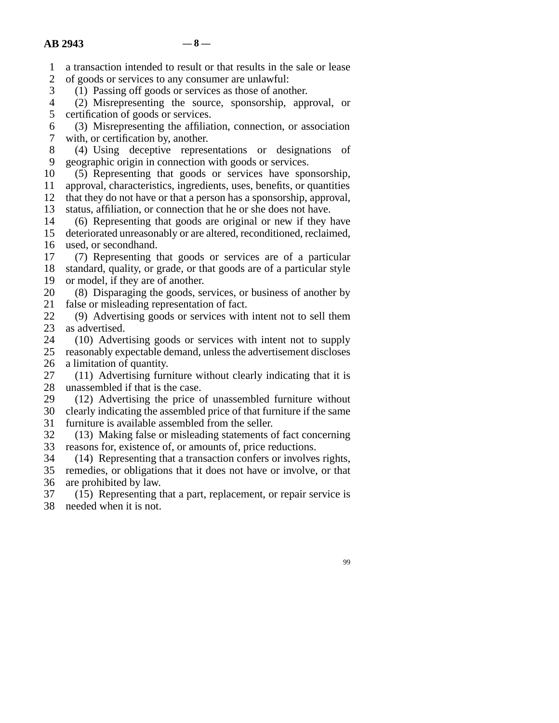line 1 a transaction intended to result or that results in the sale or lease

2 of goods or services to any consumer are unlawful:<br>3 (1) Passing off goods or services as those of anot

(1) Passing off goods or services as those of another.

 line 4 (2) Misrepresenting the source, sponsorship, approval, or 5 certification of goods or services.

6 (3) Misrepresenting the affiliation, connection, or association 7 with, or certification by, another.

8 (4) Using deceptive representations or designations of 9 geographic origin in connection with goods or services.

10 (5) Representing that goods or services have sponsorship, 11 approval, characteristics, ingredients, uses, benefits, or quantities

12 that they do not have or that a person has a sponsorship, approval, 13 status, affiliation, or connection that he or she does not have.

14 (6) Representing that goods are original or new if they have 15 deteriorated unreasonably or are altered, reconditioned, reclaimed, 16 used, or secondhand.

17 (7) Representing that goods or services are of a particular 18 standard, quality, or grade, or that goods are of a particular style 19 or model, if they are of another.

 $20$  (8) Disparaging the goods, services, or business of another by 21 false or misleading representation of fact.

22 (9) Advertising goods or services with intent not to sell them<br>23 as advertised. as advertised.

24 (10) Advertising goods or services with intent not to supply<br>25 reasonably expectable demand, unless the advertisement discloses reasonably expectable demand, unless the advertisement discloses 26 a limitation of quantity.

 $27$  (11) Advertising furniture without clearly indicating that it is 28 unassembled if that is the case.

29 (12) Advertising the price of unassembled furniture without 30 clearly indicating the assembled price of that furniture if the same 31 furniture is available assembled from the seller.

32 (13) Making false or misleading statements of fact concerning 33 reasons for, existence of, or amounts of, price reductions.

34 (14) Representing that a transaction confers or involves rights, 35 remedies, or obligations that it does not have or involve, or that 36 are prohibited by law.

37 (15) Representing that a part, replacement, or repair service is

38 needed when it is not.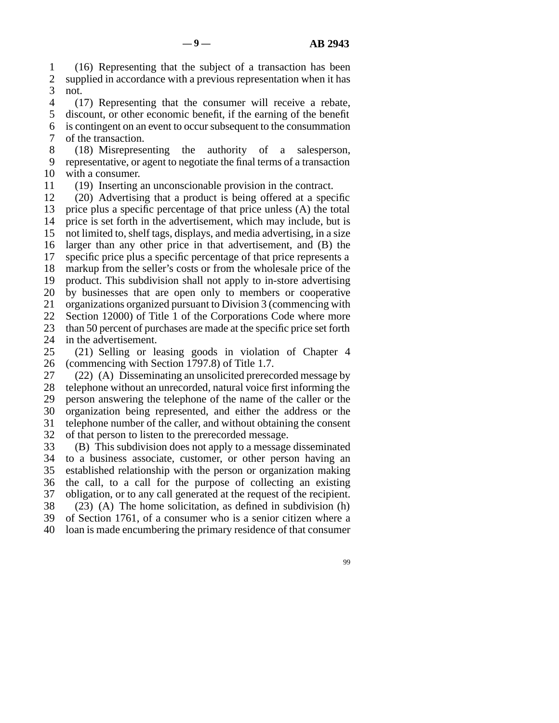line 1 (16) Representing that the subject of a transaction has been 2 supplied in accordance with a previous representation when it has 3 not. not.

4 (17) Representing that the consumer will receive a rebate, 5 discount, or other economic benefit, if the earning of the benefit line 6 is contingent on an event to occur subsequent to the consummation 7 of the transaction.

8 (18) Misrepresenting the authority of a salesperson, line 9 representative, or agent to negotiate the final terms of a transaction 10 with a consumer.

11 (19) Inserting an unconscionable provision in the contract.

 $12$  (20) Advertising that a product is being offered at a specific 13 price plus a specific percentage of that price unless (A) the total 14 price is set forth in the advertisement, which may include, but is 15 not limited to, shelf tags, displays, and media advertising, in a size 16 larger than any other price in that advertisement, and (B) the 17 specific price plus a specific percentage of that price represents a 18 markup from the seller's costs or from the wholesale price of the 19 product. This subdivision shall not apply to in-store advertising 20 by businesses that are open only to members or cooperative 21 organizations organized pursuant to Division 3 (commencing with 22 Section 12000) of Title 1 of the Corporations Code where more 23 than 50 percent of purchases are made at the specific price set forth

24 in the advertisement.<br>25 (21) Selling or 1 (21) Selling or leasing goods in violation of Chapter 4 26 (commencing with Section 1797.8) of Title 1.7.

27 (22) (A) Disseminating an unsolicited prerecorded message by<br>28 telephone without an unrecorded, natural voice first informing the telephone without an unrecorded, natural voice first informing the 29 person answering the telephone of the name of the caller or the 30 organization being represented, and either the address or the 31 telephone number of the caller, and without obtaining the consent 32 of that person to listen to the prerecorded message.

33 (B) This subdivision does not apply to a message disseminated 34 to a business associate, customer, or other person having an 35 established relationship with the person or organization making 36 the call, to a call for the purpose of collecting an existing 37 obligation, or to any call generated at the request of the recipient.  $\lambda$  (23) (A) The home solicitation, as defined in subdivision (h) 39 of Section 1761, of a consumer who is a senior citizen where a 40 loan is made encumbering the primary residence of that consumer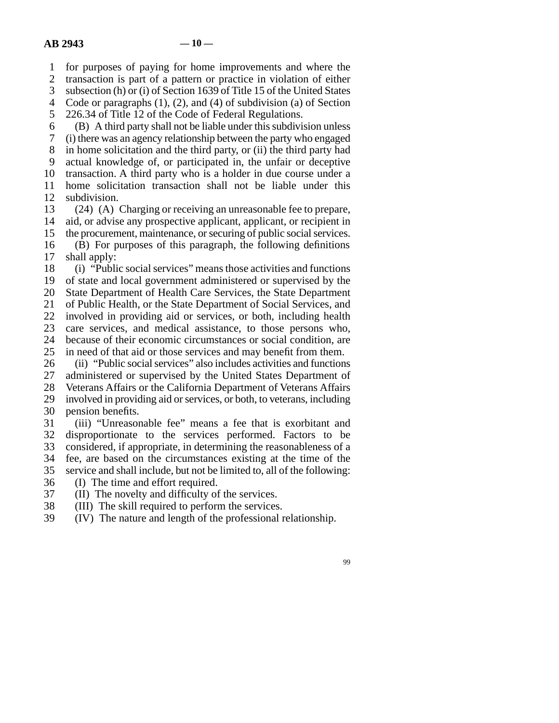line 1 for purposes of paying for home improvements and where the

2 transaction is part of a pattern or practice in violation of either<br>3 subsection (h) or (i) of Section 1639 of Title 15 of the United States

subsection (h) or (i) of Section 1639 of Title 15 of the United States

4 Code or paragraphs  $(1)$ ,  $(2)$ , and  $(4)$  of subdivision  $(a)$  of Section

5 226.34 of Title 12 of the Code of Federal Regulations.

 $\delta$  (B) A third party shall not be liable under this subdivision unless

 line 7 (i) there was an agency relationship between the party who engaged 8 in home solicitation and the third party, or (ii) the third party had line 9 actual knowledge of, or participated in, the unfair or deceptive

10 transaction. A third party who is a holder in due course under a 11 home solicitation transaction shall not be liable under this

12 subdivision.

13 (24) (A) Charging or receiving an unreasonable fee to prepare,

14 aid, or advise any prospective applicant, applicant, or recipient in

15 the procurement, maintenance, or securing of public social services.  $16$  (B) For purposes of this paragraph, the following definitions 17 shall apply:

18 (i) "Public social services" means those activities and functions 19 of state and local government administered or supervised by the 20 State Department of Health Care Services, the State Department 21 of Public Health, or the State Department of Social Services, and 22 involved in providing aid or services, or both, including health 23 care services, and medical assistance, to those persons who, 24 because of their economic circumstances or social condition, are<br>25 in need of that aid or those services and may benefit from them. in need of that aid or those services and may benefit from them.

26 (ii) "Public social services" also includes activities and functions<br>27 administered or supervised by the United States Department of administered or supervised by the United States Department of 28 Veterans Affairs or the California Department of Veterans Affairs 29 involved in providing aid or services, or both, to veterans, including

30 pension benefits.

31 (iii) "Unreasonable fee" means a fee that is exorbitant and 32 disproportionate to the services performed. Factors to be 33 considered, if appropriate, in determining the reasonableness of a line 34 fee, are based on the circumstances existing at the time of the

35 service and shall include, but not be limited to, all of the following:

36 (I) The time and effort required.

37 (II) The novelty and difficulty of the services.

38 (III) The skill required to perform the services.

39 (IV) The nature and length of the professional relationship.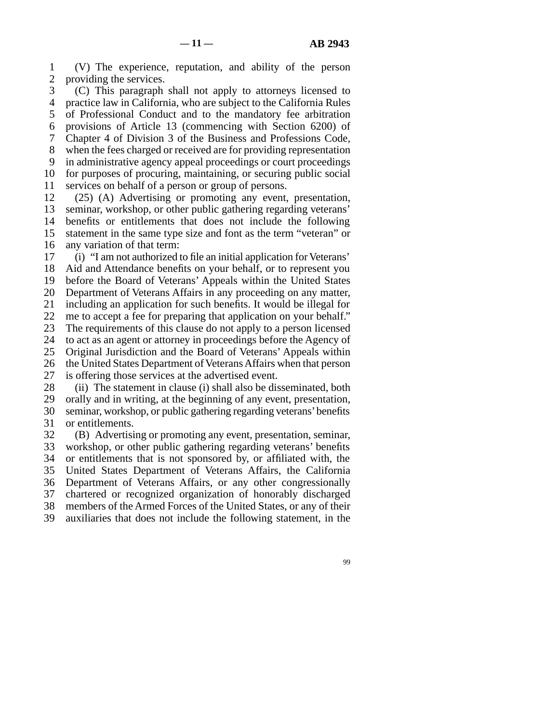line 1 (V) The experience, reputation, and ability of the person 2 providing the services.

 line 3 (C) This paragraph shall not apply to attorneys licensed to 4 practice law in California, who are subject to the California Rules 5 of Professional Conduct and to the mandatory fee arbitration line 6 provisions of Article 13 (commencing with Section 6200) of 7 Chapter 4 of Division 3 of the Business and Professions Code, 8 when the fees charged or received are for providing representation 9 in administrative agency appeal proceedings or court proceedings 10 for purposes of procuring, maintaining, or securing public social 11 services on behalf of a person or group of persons.

12 (25) (A) Advertising or promoting any event, presentation, 13 seminar, workshop, or other public gathering regarding veterans' 14 benefits or entitlements that does not include the following 15 statement in the same type size and font as the term "veteran" or 16 any variation of that term:

17 (i) "I am not authorized to file an initial application for Veterans' 18 Aid and Attendance benefits on your behalf, or to represent you 19 before the Board of Veterans' Appeals within the United States 20 Department of Veterans Affairs in any proceeding on any matter, 21 including an application for such benefits. It would be illegal for 22 me to accept a fee for preparing that application on your behalf." 23 The requirements of this clause do not apply to a person licensed 24 to act as an agent or attorney in proceedings before the Agency of 25 Original Jurisdiction and the Board of Veterans' Appeals within Original Jurisdiction and the Board of Veterans' Appeals within 26 the United States Department of Veterans Affairs when that person 27 is offering those services at the advertised event. 28 (ii) The statement in clause (i) shall also be disseminated, both 29 orally and in writing, at the beginning of any event, presentation,

30 seminar, workshop, or public gathering regarding veterans' benefits 31 or entitlements.

32 (B) Advertising or promoting any event, presentation, seminar, 33 workshop, or other public gathering regarding veterans' benefits 34 or entitlements that is not sponsored by, or affiliated with, the 35 United States Department of Veterans Affairs, the California 36 Department of Veterans Affairs, or any other congressionally 37 chartered or recognized organization of honorably discharged 38 members of the Armed Forces of the United States, or any of their 39 auxiliaries that does not include the following statement, in the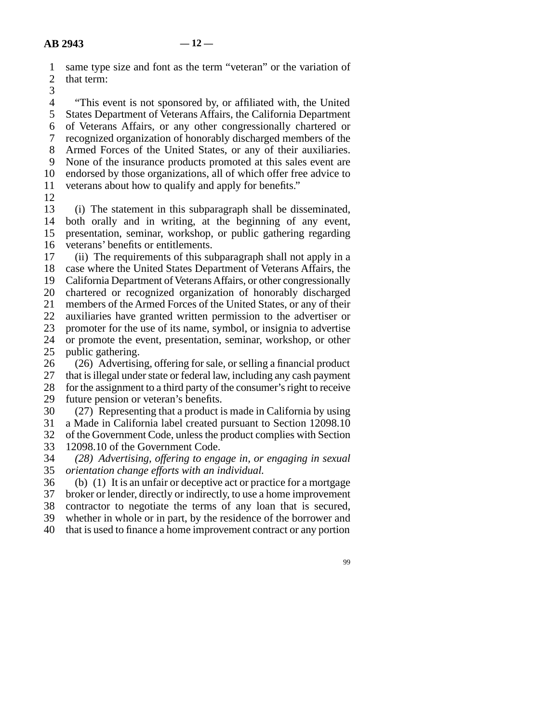| same type size and font as the term "veteran" or the variation of |
|-------------------------------------------------------------------|
| 2 that term:                                                      |

 $\mathfrak{Z}$ 

 line 4 "This event is not sponsored by, or affiliated with, the United 5 States Department of Veterans Affairs, the California Department line 6 of Veterans Affairs, or any other congressionally chartered or line 7 recognized organization of honorably discharged members of the 8 Armed Forces of the United States, or any of their auxiliaries. 9 None of the insurance products promoted at this sales event are 10 endorsed by those organizations, all of which offer free advice to 11 veterans about how to qualify and apply for benefits."  $12$ 13 (i) The statement in this subparagraph shall be disseminated, 14 both orally and in writing, at the beginning of any event, 15 presentation, seminar, workshop, or public gathering regarding 16 veterans' benefits or entitlements. 17 (ii) The requirements of this subparagraph shall not apply in a 18 case where the United States Department of Veterans Affairs, the 19 California Department of Veterans Affairs, or other congressionally 20 chartered or recognized organization of honorably discharged 21 members of the Armed Forces of the United States, or any of their

22 auxiliaries have granted written permission to the advertiser or 23 promoter for the use of its name, symbol, or insignia to advertise

24 or promote the event, presentation, seminar, workshop, or other 25 public gathering. public gathering.

26 (26) Advertising, offering for sale, or selling a financial product<br>27 that is illegal under state or federal law, including any cash payment that is illegal under state or federal law, including any cash payment 28 for the assignment to a third party of the consumer's right to receive 29 future pension or veteran's benefits.

line 30 (27) Representing that a product is made in California by using

31 a Made in California label created pursuant to Section 12098.10

32 of the Government Code, unless the product complies with Section 33 12098.10 of the Government Code.

 line 34 *(28) Advertising, offering to engage in, or engaging in sexual* 35 *orientation change efforts with an individual.* 

 $\delta$  (b) (1) It is an unfair or deceptive act or practice for a mortgage 37 broker or lender, directly or indirectly, to use a home improvement 38 contractor to negotiate the terms of any loan that is secured, 39 whether in whole or in part, by the residence of the borrower and 40 that is used to finance a home improvement contract or any portion